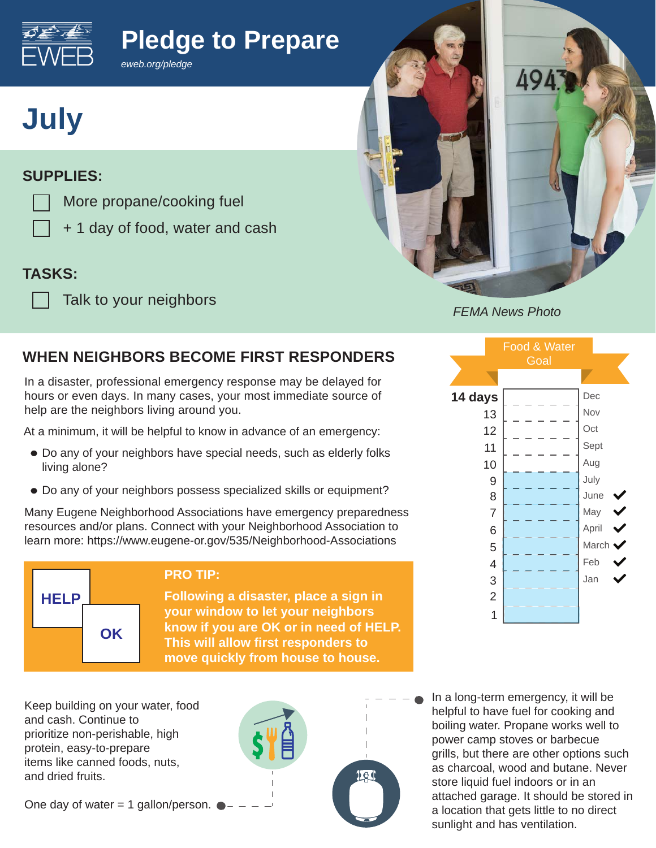

# **Pledge to Prepare**



### **SUPPLIES:**

More propane/cooking fuel

*eweb.org/pledge*

+ 1 day of food, water and cash

### **TASKS:**

Talk to your neighbors



#### *FEMA News Photo*

## **WHEN NEIGHBORS BECOME FIRST RESPONDERS**

In a disaster, professional emergency response may be delayed for hours or even days. In many cases, your most immediate source of help are the neighbors living around you.

At a minimum, it will be helpful to know in advance of an emergency:

- Do any of your neighbors have special needs, such as elderly folks living alone?
- Do any of your neighbors possess specialized skills or equipment?

Many Eugene Neighborhood Associations have emergency preparedness resources and/or plans. Connect with your Neighborhood Association to learn more: https://www.eugene-or.gov/535/Neighborhood-Associations



#### **PRO TIP:**

**Following a disaster, place a sign in your window to let your neighbors know if you are OK or in need of HELP. This will allow first responders to move quickly from house to house.**

Keep building on your water, food and cash. Continue to prioritize non-perishable, high protein, easy-to-prepare items like canned foods, nuts, and dried fruits.

One day of water  $= 1$  gallon/person.



In a long-term emergency, it will be helpful to have fuel for cooking and boiling water. Propane works well to power camp stoves or barbecue grills, but there are other options such as charcoal, wood and butane. Never store liquid fuel indoors or in an attached garage. It should be stored in a location that gets little to no direct sunlight and has ventilation.